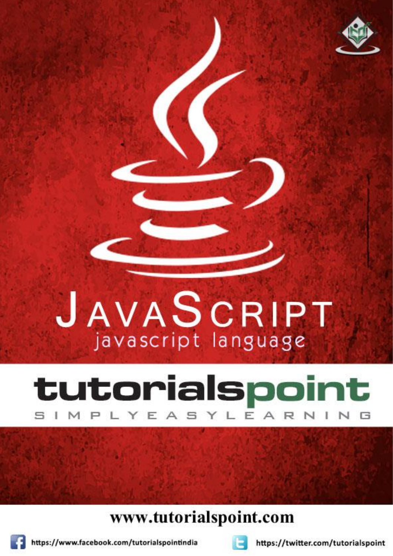

# tutorialspoint MPLYEASYLEAR

### www.tutorialspoint.com



https://www.facebook.com/tutorialspointindia



https://twitter.com/tutorialspoint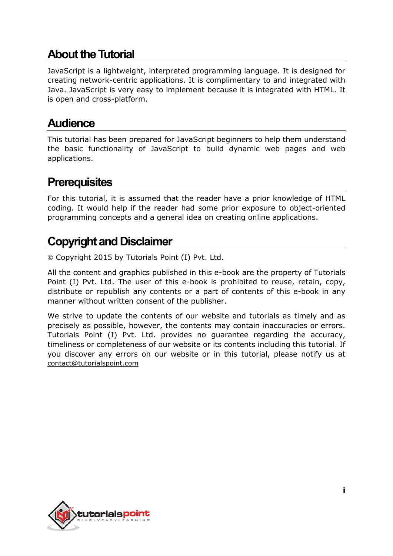#### **About the Tutorial**

JavaScript is a lightweight, interpreted programming language. It is designed for creating network-centric applications. It is complimentary to and integrated with Java. JavaScript is very easy to implement because it is integrated with HTML. It is open and cross-platform.

#### **Audience**

This tutorial has been prepared for JavaScript beginners to help them understand the basic functionality of JavaScript to build dynamic web pages and web applications.

#### **Prerequisites**

For this tutorial, it is assumed that the reader have a prior knowledge of HTML coding. It would help if the reader had some prior exposure to object-oriented programming concepts and a general idea on creating online applications.

#### **Copyright and Disclaimer**

Copyright 2015 by Tutorials Point (I) Pvt. Ltd.

All the content and graphics published in this e-book are the property of Tutorials Point (I) Pvt. Ltd. The user of this e-book is prohibited to reuse, retain, copy, distribute or republish any contents or a part of contents of this e-book in any manner without written consent of the publisher.

We strive to update the contents of our website and tutorials as timely and as precisely as possible, however, the contents may contain inaccuracies or errors. Tutorials Point (I) Pvt. Ltd. provides no guarantee regarding the accuracy, timeliness or completeness of our website or its contents including this tutorial. If you discover any errors on our website or in this tutorial, please notify us at [contact@tutorialspoint.com](mailto:contact@tutorialspoint.com)

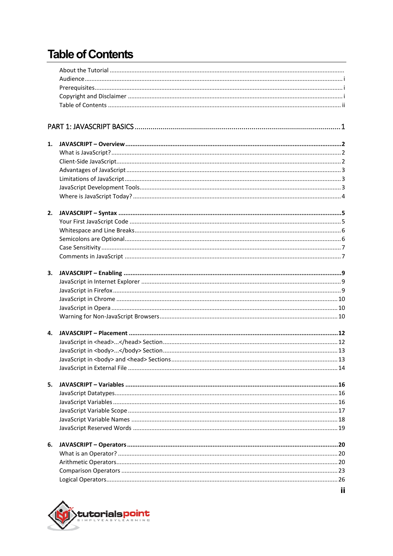### **Table of Contents**

| 1. |    |
|----|----|
|    |    |
|    |    |
|    |    |
|    |    |
|    |    |
|    |    |
| 2. |    |
|    |    |
|    |    |
|    |    |
|    |    |
|    |    |
| 3. |    |
|    |    |
|    |    |
|    |    |
|    |    |
|    |    |
|    |    |
| 4. |    |
|    |    |
|    |    |
|    |    |
|    |    |
| 5. |    |
|    |    |
|    |    |
|    |    |
|    |    |
|    |    |
| 6. |    |
|    |    |
|    |    |
|    |    |
|    |    |
|    | ij |

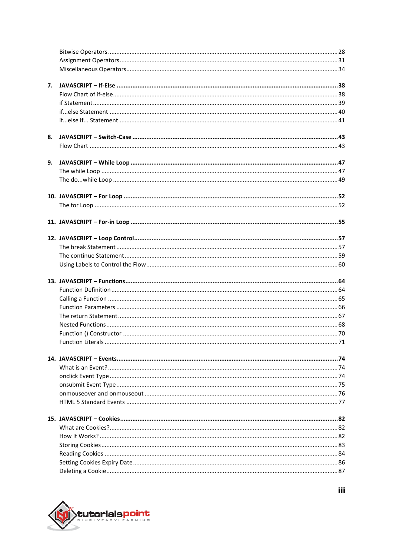| 7. |                          |           |
|----|--------------------------|-----------|
|    |                          |           |
|    |                          |           |
|    |                          |           |
|    |                          |           |
|    |                          |           |
| 8. |                          |           |
|    |                          |           |
| 9. |                          |           |
|    |                          |           |
|    |                          |           |
|    |                          |           |
|    |                          |           |
|    |                          |           |
|    |                          |           |
|    |                          |           |
|    |                          |           |
|    |                          |           |
|    |                          |           |
|    |                          |           |
|    |                          |           |
|    |                          |           |
|    |                          |           |
|    |                          |           |
|    |                          |           |
|    |                          |           |
|    | <b>Eunction Literals</b> | $\sim$ 71 |
|    |                          |           |
|    |                          |           |
|    |                          |           |
|    |                          |           |
|    |                          |           |
|    |                          |           |
|    |                          |           |
|    |                          |           |
|    |                          |           |
|    |                          |           |
|    |                          |           |
|    |                          |           |
|    |                          |           |
|    |                          |           |

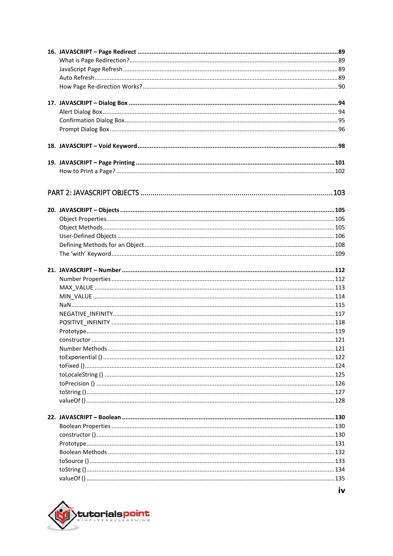

iv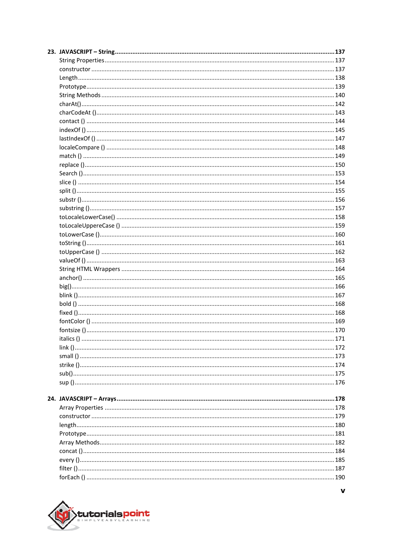

 $\mathbf{v}$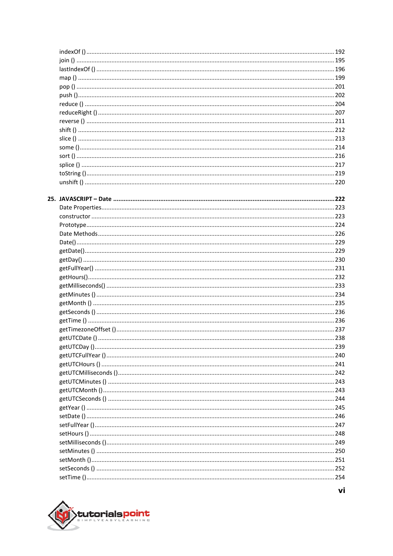

vi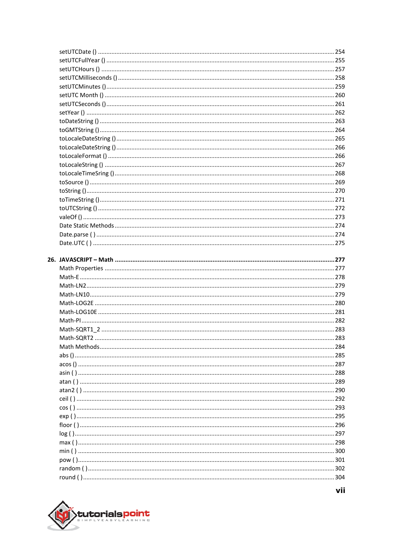

vii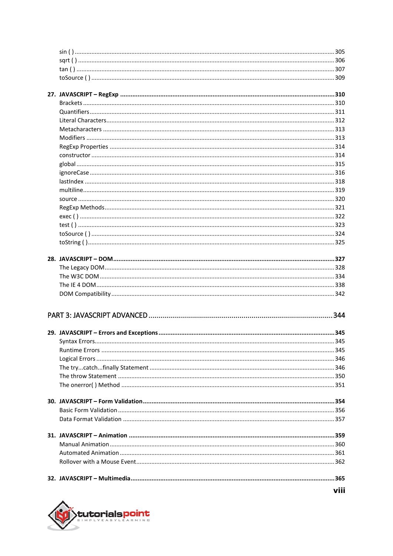| Syntax Errors | 345 |
|---------------|-----|
|               |     |
|               |     |
|               |     |
|               |     |
|               |     |
|               |     |
|               |     |
|               |     |
|               |     |
|               |     |
|               |     |
|               |     |
|               |     |
|               |     |



viii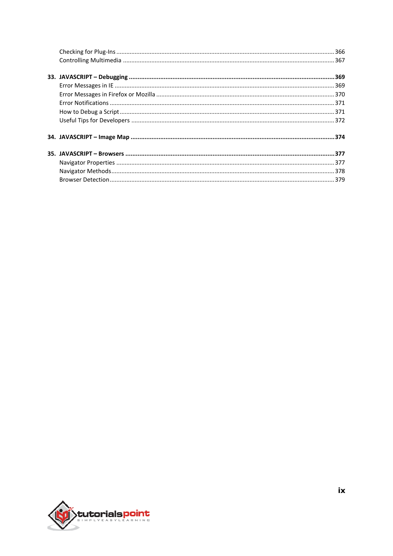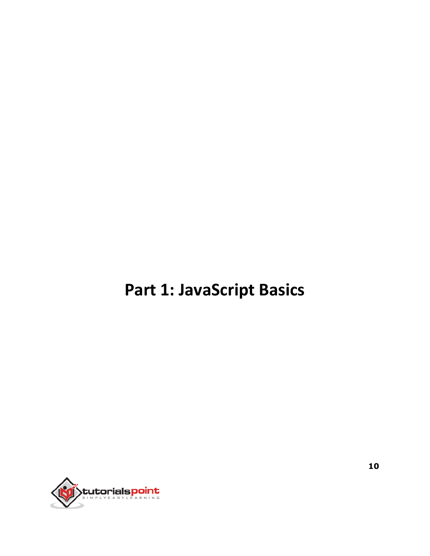# **Part 1: JavaScript Basics**

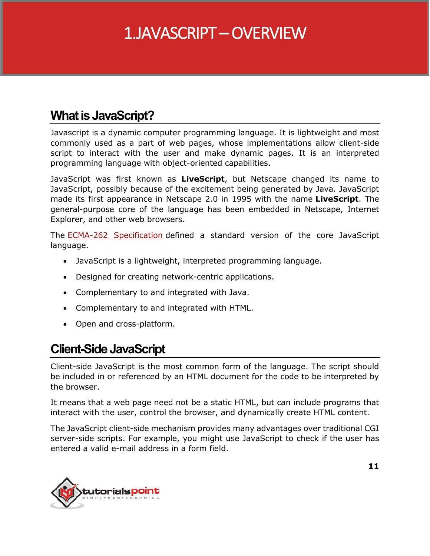### 1.JAVASCRIPT – OVERVIEW

#### **What is JavaScript?**

Javascript is a dynamic computer programming language. It is lightweight and most commonly used as a part of web pages, whose implementations allow client-side script to interact with the user and make dynamic pages. It is an interpreted programming language with object-oriented capabilities.

JavaScript was first known as **LiveScript**, but Netscape changed its name to JavaScript, possibly because of the excitement being generated by Java. JavaScript made its first appearance in Netscape 2.0 in 1995 with the name **LiveScript**. The general-purpose core of the language has been embedded in Netscape, Internet Explorer, and other web browsers.

The **ECMA-262** Specification defined a standard version of the core JavaScript language.

- JavaScript is a lightweight, interpreted programming language.
- Designed for creating network-centric applications.
- Complementary to and integrated with Java.
- Complementary to and integrated with HTML.
- Open and cross-platform.

#### **Client-Side JavaScript**

Client-side JavaScript is the most common form of the language. The script should be included in or referenced by an HTML document for the code to be interpreted by the browser.

It means that a web page need not be a static HTML, but can include programs that interact with the user, control the browser, and dynamically create HTML content.

The JavaScript client-side mechanism provides many advantages over traditional CGI server-side scripts. For example, you might use JavaScript to check if the user has entered a valid e-mail address in a form field.

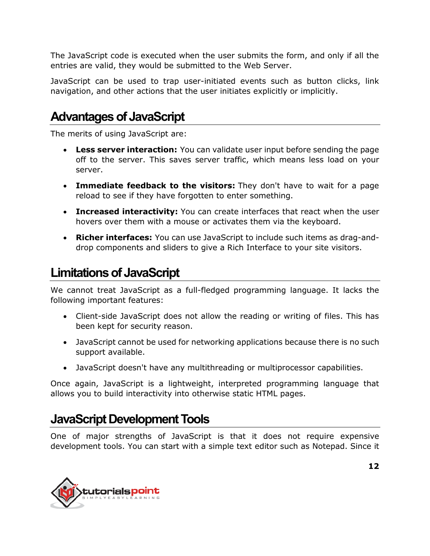The JavaScript code is executed when the user submits the form, and only if all the entries are valid, they would be submitted to the Web Server.

JavaScript can be used to trap user-initiated events such as button clicks, link navigation, and other actions that the user initiates explicitly or implicitly.

#### **Advantages of JavaScript**

The merits of using JavaScript are:

- **Less server interaction:** You can validate user input before sending the page off to the server. This saves server traffic, which means less load on your server.
- **Immediate feedback to the visitors:** They don't have to wait for a page reload to see if they have forgotten to enter something.
- **Increased interactivity:** You can create interfaces that react when the user hovers over them with a mouse or activates them via the keyboard.
- **Richer interfaces:** You can use JavaScript to include such items as drag-anddrop components and sliders to give a Rich Interface to your site visitors.

#### **Limitations of JavaScript**

We cannot treat JavaScript as a full-fledged programming language. It lacks the following important features:

- Client-side JavaScript does not allow the reading or writing of files. This has been kept for security reason.
- JavaScript cannot be used for networking applications because there is no such support available.
- JavaScript doesn't have any multithreading or multiprocessor capabilities.

Once again, JavaScript is a lightweight, interpreted programming language that allows you to build interactivity into otherwise static HTML pages.

#### **JavaScript Development Tools**

One of major strengths of JavaScript is that it does not require expensive development tools. You can start with a simple text editor such as Notepad. Since it

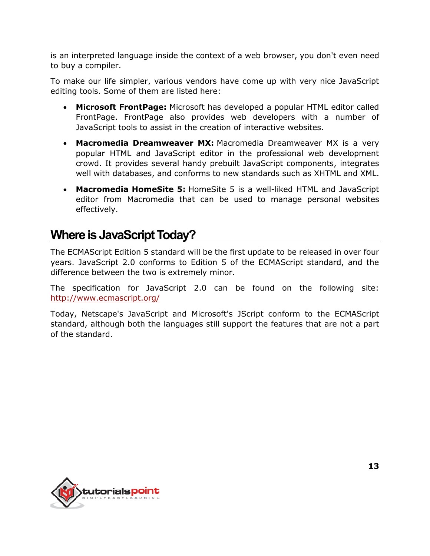is an interpreted language inside the context of a web browser, you don't even need to buy a compiler.

To make our life simpler, various vendors have come up with very nice JavaScript editing tools. Some of them are listed here:

- **Microsoft FrontPage:** Microsoft has developed a popular HTML editor called FrontPage. FrontPage also provides web developers with a number of JavaScript tools to assist in the creation of interactive websites.
- **Macromedia Dreamweaver MX:** Macromedia Dreamweaver MX is a very popular HTML and JavaScript editor in the professional web development crowd. It provides several handy prebuilt JavaScript components, integrates well with databases, and conforms to new standards such as XHTML and XML.
- **Macromedia HomeSite 5:** HomeSite 5 is a well-liked HTML and JavaScript editor from Macromedia that can be used to manage personal websites effectively.

#### **Where is JavaScript Today?**

The ECMAScript Edition 5 standard will be the first update to be released in over four years. JavaScript 2.0 conforms to Edition 5 of the ECMAScript standard, and the difference between the two is extremely minor.

The specification for JavaScript 2.0 can be found on the following site: <http://www.ecmascript.org/>

Today, Netscape's JavaScript and Microsoft's JScript conform to the ECMAScript standard, although both the languages still support the features that are not a part of the standard.

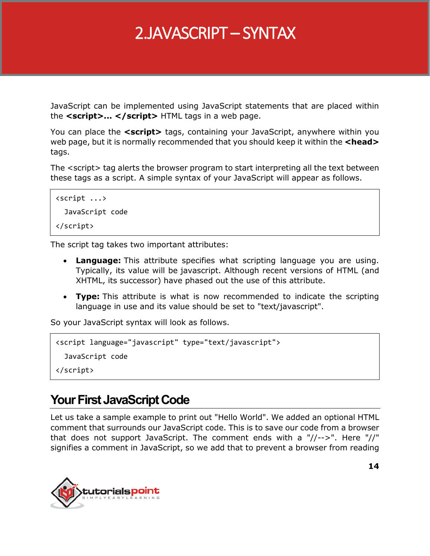### 2.JAVASCRIPT – SYNTAX

JavaScript can be implemented using JavaScript statements that are placed within the **<script>... </script>** HTML tags in a web page.

You can place the **<script>** tags, containing your JavaScript, anywhere within you web page, but it is normally recommended that you should keep it within the **<head>** tags.

The <script> tag alerts the browser program to start interpreting all the text between these tags as a script. A simple syntax of your JavaScript will appear as follows.

```
<script ...>
   JavaScript code
</script>
```
The script tag takes two important attributes:

- **Language:** This attribute specifies what scripting language you are using. Typically, its value will be javascript. Although recent versions of HTML (and XHTML, its successor) have phased out the use of this attribute.
- **Type:** This attribute is what is now recommended to indicate the scripting language in use and its value should be set to "text/javascript".

So your JavaScript syntax will look as follows.

```
<script language="javascript" type="text/javascript">
   JavaScript code
</script>
```
#### **Your First JavaScript Code**

Let us take a sample example to print out "Hello World". We added an optional HTML comment that surrounds our JavaScript code. This is to save our code from a browser that does not support JavaScript. The comment ends with a "//-->". Here "//" signifies a comment in JavaScript, so we add that to prevent a browser from reading

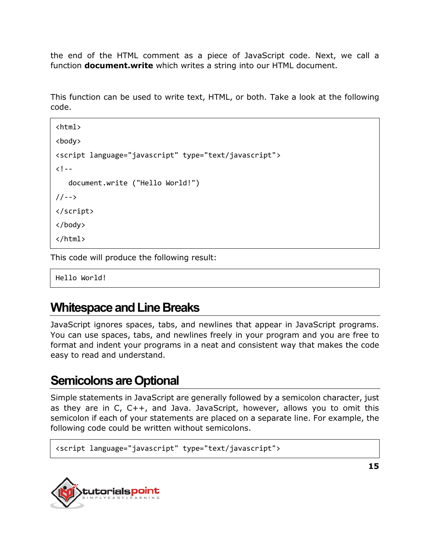the end of the HTML comment as a piece of JavaScript code. Next, we call a function **document.write** which writes a string into our HTML document.

This function can be used to write text, HTML, or both. Take a look at the following code.

```
<html>
<body>
<script language="javascript" type="text/javascript">
<! - -
    document.write ("Hello World!")
//-->
</script>
</body>
</html>
```
This code will produce the following result:

Hello World!

#### **Whitespace and Line Breaks**

JavaScript ignores spaces, tabs, and newlines that appear in JavaScript programs. You can use spaces, tabs, and newlines freely in your program and you are free to format and indent your programs in a neat and consistent way that makes the code easy to read and understand.

#### **Semicolons are Optional**

Simple statements in JavaScript are generally followed by a semicolon character, just as they are in C, C++, and Java. JavaScript, however, allows you to omit this semicolon if each of your statements are placed on a separate line. For example, the following code could be written without semicolons.

```
<script language="javascript" type="text/javascript">
```
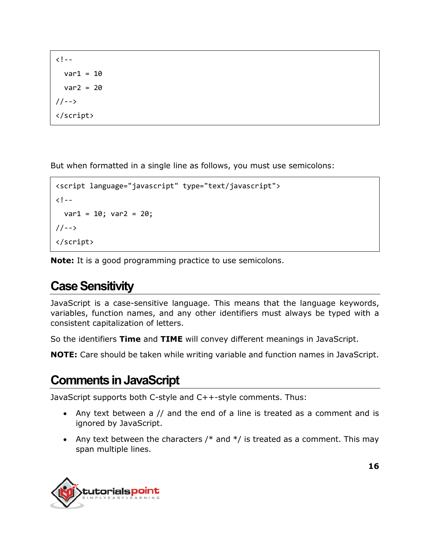$\langle$ ! - $var1 = 10$  $var2 = 20$  $1/--$ > </script>

But when formatted in a single line as follows, you must use semicolons:

```
<script language="javascript" type="text/javascript">
\langle! --
  var1 = 10; var2 = 20;//-->
</script>
```
**Note:** It is a good programming practice to use semicolons.

#### **Case Sensitivity**

JavaScript is a case-sensitive language. This means that the language keywords, variables, function names, and any other identifiers must always be typed with a consistent capitalization of letters.

So the identifiers **Time** and **TIME** will convey different meanings in JavaScript.

**NOTE:** Care should be taken while writing variable and function names in JavaScript.

#### **Comments in JavaScript**

JavaScript supports both C-style and C++-style comments. Thus:

- Any text between a // and the end of a line is treated as a comment and is ignored by JavaScript.
- Any text between the characters  $/*$  and  $*/$  is treated as a comment. This may span multiple lines.

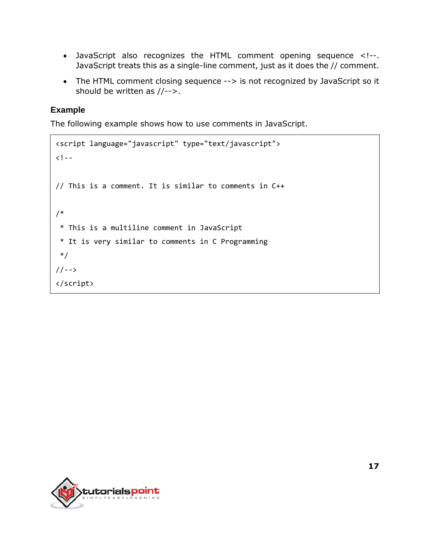- JavaScript also recognizes the HTML comment opening sequence <!--. JavaScript treats this as a single-line comment, just as it does the // comment.
- The HTML comment closing sequence --> is not recognized by JavaScript so it should be written as //-->.

#### **Example**

The following example shows how to use comments in JavaScript.

```
<script language="javascript" type="text/javascript">
\langle! --
// This is a comment. It is similar to comments in C++
/*
 * This is a multiline comment in JavaScript
 * It is very similar to comments in C Programming
 */
//-->
</script>
```
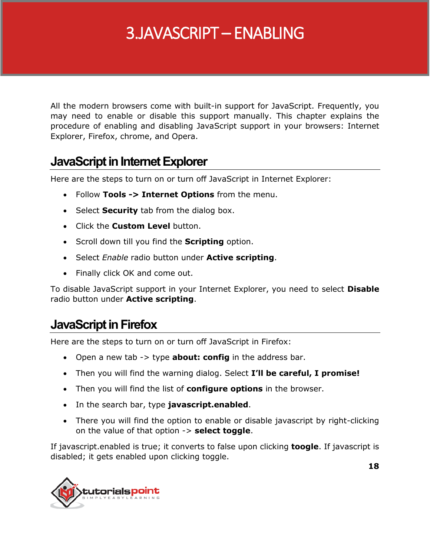### 3.JAVASCRIPT – ENABLING

All the modern browsers come with built-in support for JavaScript. Frequently, you may need to enable or disable this support manually. This chapter explains the procedure of enabling and disabling JavaScript support in your browsers: Internet Explorer, Firefox, chrome, and Opera.

#### **JavaScript in Internet Explorer**

Here are the steps to turn on or turn off JavaScript in Internet Explorer:

- Follow **Tools -> Internet Options** from the menu.
- **Select Security** tab from the dialog box.
- Click the **Custom Level** button.
- **Scroll down till you find the Scripting option.**
- Select *Enable* radio button under **Active scripting**.
- Finally click OK and come out.

To disable JavaScript support in your Internet Explorer, you need to select **Disable** radio button under **Active scripting**.

#### **JavaScript in Firefox**

Here are the steps to turn on or turn off JavaScript in Firefox:

- Open a new tab -> type **about: config** in the address bar.
- Then you will find the warning dialog. Select **I'll be careful, I promise!**
- Then you will find the list of **configure options** in the browser.
- In the search bar, type **javascript.enabled**.
- There you will find the option to enable or disable javascript by right-clicking on the value of that option -> **select toggle**.

If javascript.enabled is true; it converts to false upon clicking **toogle**. If javascript is disabled; it gets enabled upon clicking toggle.

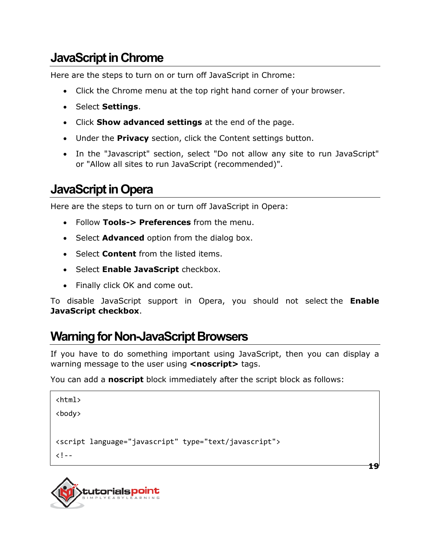#### **JavaScript in Chrome**

Here are the steps to turn on or turn off JavaScript in Chrome:

- Click the Chrome menu at the top right hand corner of your browser.
- **•** Select **Settings**.
- Click **Show advanced settings** at the end of the page.
- Under the **Privacy** section, click the Content settings button.
- In the "Javascript" section, select "Do not allow any site to run JavaScript" or "Allow all sites to run JavaScript (recommended)".

#### **JavaScript in Opera**

Here are the steps to turn on or turn off JavaScript in Opera:

- Follow **Tools-> Preferences** from the menu.
- **Select Advanced** option from the dialog box.
- Select **Content** from the listed items.
- **Select Enable JavaScript** checkbox.
- Finally click OK and come out.

To disable JavaScript support in Opera, you should not select the **Enable JavaScript checkbox**.

#### **Warning for Non-JavaScript Browsers**

If you have to do something important using JavaScript, then you can display a warning message to the user using **<noscript>** tags.

You can add a **noscript** block immediately after the script block as follows:

```
<html>
<body>
<script language="javascript" type="text/javascript">
\langle! - -
```


**19**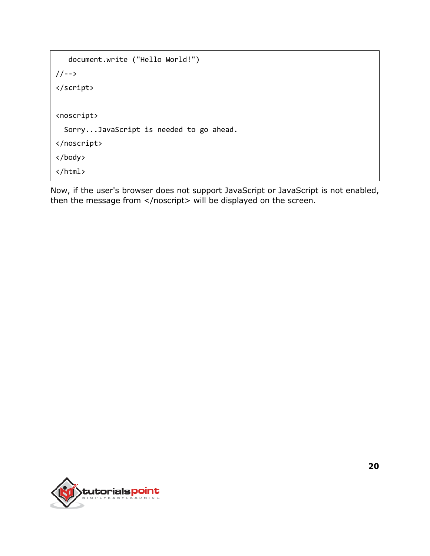```
 document.write ("Hello World!")
//-->
</script>
<noscript>
   Sorry...JavaScript is needed to go ahead.
</noscript>
</body>
</html>
```
Now, if the user's browser does not support JavaScript or JavaScript is not enabled, then the message from </noscript> will be displayed on the screen.

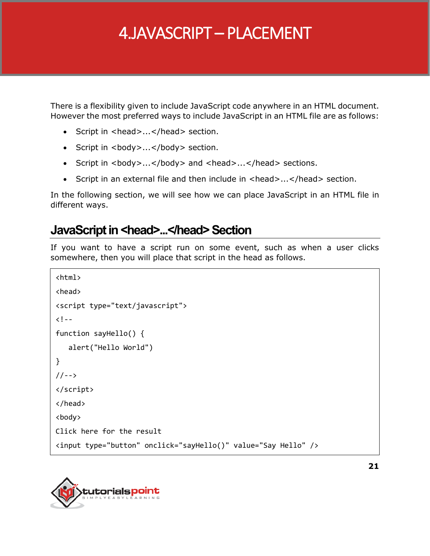### 4.JAVASCRIPT – PLACEMENT

There is a flexibility given to include JavaScript code anywhere in an HTML document. However the most preferred ways to include JavaScript in an HTML file are as follows:

- Script in <head>...</head> section.
- Script in <br/>body>...</body> section.
- Script in <br/>body>...</body> and <head>...</head> sections.
- Script in an external file and then include in <head>...</head> section.

In the following section, we will see how we can place JavaScript in an HTML file in different ways.

#### **JavaScript in <head>...</head> Section**

If you want to have a script run on some event, such as when a user clicks somewhere, then you will place that script in the head as follows.

```
<html>
<head>
<script type="text/javascript">
\langle! --
function sayHello() {
    alert("Hello World")
}
1/-->
</script>
</head>
<body>
Click here for the result
<input type="button" onclick="sayHello()" value="Say Hello" />
```
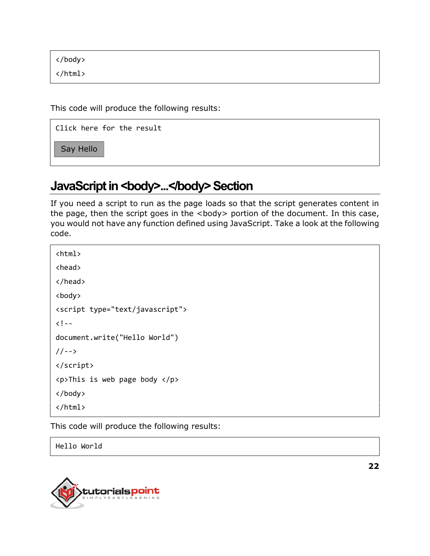</body>

</html>

This code will produce the following results:

Click here for the result

Say Hello

#### JavaScript in <br/>body>...</body> Section

If you need a script to run as the page loads so that the script generates content in the page, then the script goes in the <body> portion of the document. In this case, you would not have any function defined using JavaScript. Take a look at the following code.

<html> <head> </head> <body> <script type="text/javascript">  $\langle$ ! -document.write("Hello World")  $//--$ </script> <p>This is web page body </p> </body> </html>

This code will produce the following results:

Hello World



**22**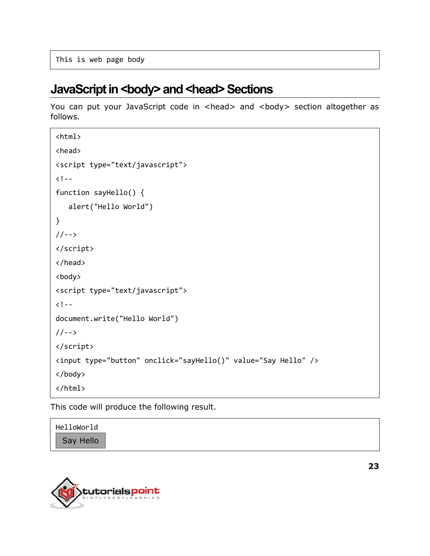This is web page body

#### **JavaScript in <br/>body> and <head> Sections**

You can put your JavaScript code in <head> and <body> section altogether as follows.

```
<html>
<head>
<script type="text/javascript">
\langle!--
function sayHello() {
    alert("Hello World")
}
//-->
</script>
</head>
<body>
<script type="text/javascript">
<! - -
document.write("Hello World")
//-->
</script>
<input type="button" onclick="sayHello()" value="Say Hello" />
</body>
</html>
```
This code will produce the following result.

| HelloWorld |  |  |  |
|------------|--|--|--|
| Say Hello  |  |  |  |

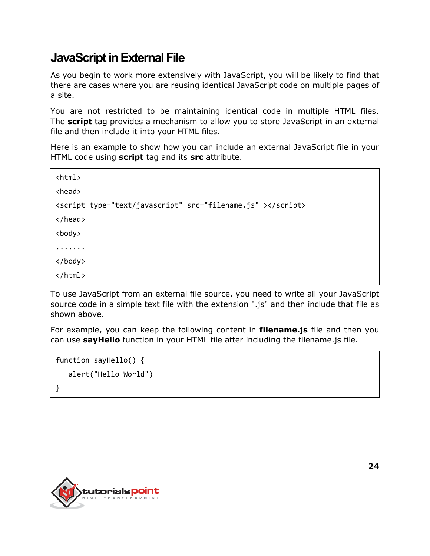#### **JavaScript in External File**

As you begin to work more extensively with JavaScript, you will be likely to find that there are cases where you are reusing identical JavaScript code on multiple pages of a site.

You are not restricted to be maintaining identical code in multiple HTML files. The **script** tag provides a mechanism to allow you to store JavaScript in an external file and then include it into your HTML files.

Here is an example to show how you can include an external JavaScript file in your HTML code using **script** tag and its **src** attribute.

```
<html>
<head>
<script type="text/javascript" src="filename.js" ></script>
</head>
<body>
.......
</body>
</html>
```
To use JavaScript from an external file source, you need to write all your JavaScript source code in a simple text file with the extension ".js" and then include that file as shown above.

For example, you can keep the following content in **filename.js** file and then you can use **sayHello** function in your HTML file after including the filename.js file.

```
function sayHello() {
   alert("Hello World")
}
```
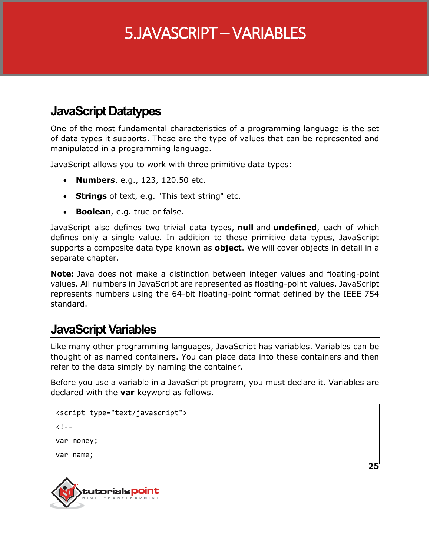### 5.JAVASCRIPT – VARIABLES

#### **JavaScript Datatypes**

One of the most fundamental characteristics of a programming language is the set of data types it supports. These are the type of values that can be represented and manipulated in a programming language.

JavaScript allows you to work with three primitive data types:

- **Numbers**, e.g., 123, 120.50 etc.
- **Strings** of text, e.g. "This text string" etc.
- **Boolean**, e.g. true or false.

JavaScript also defines two trivial data types, **null** and **undefined**, each of which defines only a single value. In addition to these primitive data types, JavaScript supports a composite data type known as **object**. We will cover objects in detail in a separate chapter.

**Note:** Java does not make a distinction between integer values and floating-point values. All numbers in JavaScript are represented as floating-point values. JavaScript represents numbers using the 64-bit floating-point format defined by the IEEE 754 standard.

#### **JavaScript Variables**

Like many other programming languages, JavaScript has variables. Variables can be thought of as named containers. You can place data into these containers and then refer to the data simply by naming the container.

Before you use a variable in a JavaScript program, you must declare it. Variables are declared with the **var** keyword as follows.

```
<script type="text/javascript">
< 1 - -var money;
var name;
```


**25**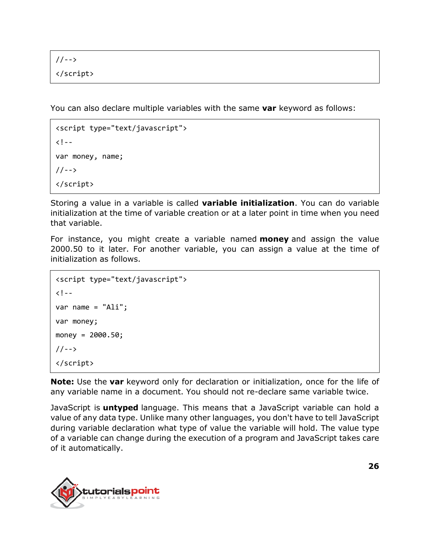//--> </script>

You can also declare multiple variables with the same **var** keyword as follows:

```
<script type="text/javascript">
\langle! --
var money, name;
//-->
</script>
```
Storing a value in a variable is called **variable initialization**. You can do variable initialization at the time of variable creation or at a later point in time when you need that variable.

For instance, you might create a variable named **money** and assign the value 2000.50 to it later. For another variable, you can assign a value at the time of initialization as follows.

```
<script type="text/javascript">
\langle! --
var name = "Ali";
var money;
money = 2000.50;
//-->
</script>
```
**Note:** Use the **var** keyword only for declaration or initialization, once for the life of any variable name in a document. You should not re-declare same variable twice.

JavaScript is **untyped** language. This means that a JavaScript variable can hold a value of any data type. Unlike many other languages, you don't have to tell JavaScript during variable declaration what type of value the variable will hold. The value type of a variable can change during the execution of a program and JavaScript takes care of it automatically.

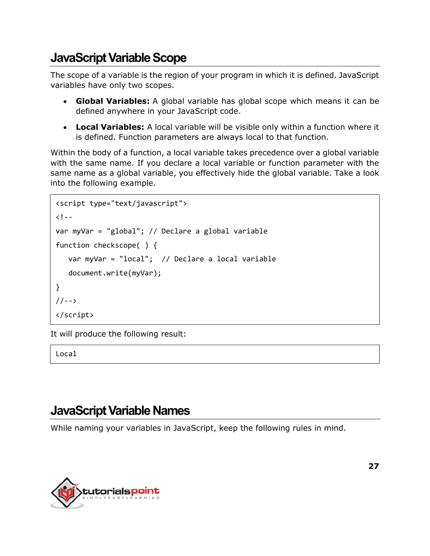#### **JavaScript Variable Scope**

The scope of a variable is the region of your program in which it is defined. JavaScript variables have only two scopes.

- **Global Variables:** A global variable has global scope which means it can be defined anywhere in your JavaScript code.
- **Local Variables:** A local variable will be visible only within a function where it is defined. Function parameters are always local to that function.

Within the body of a function, a local variable takes precedence over a global variable with the same name. If you declare a local variable or function parameter with the same name as a global variable, you effectively hide the global variable. Take a look into the following example.

```
<script type="text/javascript">
<! -</math>var myVar = "global"; // Declare a global variable
function checkscope( ) {
    var myVar = "local"; // Declare a local variable
    document.write(myVar);
}
//-->
</script>
```
It will produce the following result:

Local

#### **JavaScript Variable Names**

While naming your variables in JavaScript, keep the following rules in mind.

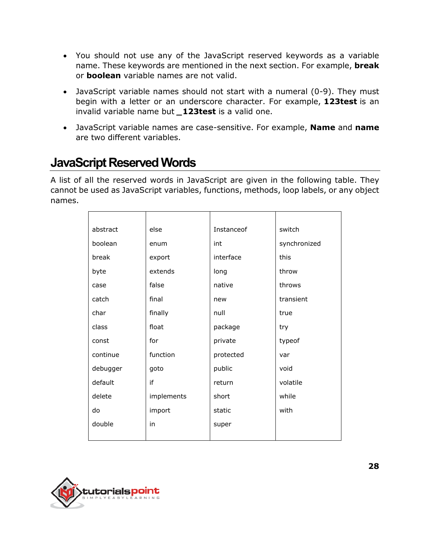- You should not use any of the JavaScript reserved keywords as a variable name. These keywords are mentioned in the next section. For example, **break** or **boolean** variable names are not valid.
- JavaScript variable names should not start with a numeral (0-9). They must begin with a letter or an underscore character. For example, **123test** is an invalid variable name but *\_***123test** is a valid one.
- JavaScript variable names are case-sensitive. For example, **Name** and **name** are two different variables.

#### **JavaScript Reserved Words**

A list of all the reserved words in JavaScript are given in the following table. They cannot be used as JavaScript variables, functions, methods, loop labels, or any object names.

| abstract | else       | Instanceof | switch       |
|----------|------------|------------|--------------|
| boolean  | enum       | int        | synchronized |
| break    | export     | interface  | this         |
| byte     | extends    | long       | throw        |
| case     | false      | native     | throws       |
| catch    | final      | new        | transient    |
| char     | finally    | null       | true         |
| class    | float      | package    | try          |
| const    | for        | private    | typeof       |
| continue | function   | protected  | var          |
| debugger | goto       | public     | void         |
| default  | if         | return     | volatile     |
| delete   | implements | short      | while        |
| do       | import     | static     | with         |
| double   | in         | super      |              |
|          |            |            |              |

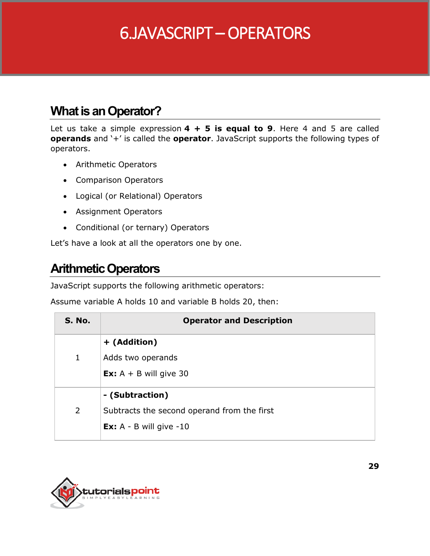## 6.JAVASCRIPT – OPERATORS

#### **What is an Operator?**

Let us take a simple expression **4 + 5 is equal to 9**. Here 4 and 5 are called **operands** and '+' is called the **operator**. JavaScript supports the following types of operators.

- Arithmetic Operators
- Comparison Operators
- Logical (or Relational) Operators
- Assignment Operators
- Conditional (or ternary) Operators

Let's have a look at all the operators one by one.

#### **Arithmetic Operators**

JavaScript supports the following arithmetic operators:

Assume variable A holds 10 and variable B holds 20, then:

| S. No.       | <b>Operator and Description</b>             |
|--------------|---------------------------------------------|
|              | + (Addition)                                |
| $\mathbf{1}$ | Adds two operands                           |
|              | <b>Ex:</b> $A + B$ will give 30             |
|              | - (Subtraction)                             |
| 2            | Subtracts the second operand from the first |
|              | <b>Ex:</b> $A - B$ will give $-10$          |
|              |                                             |

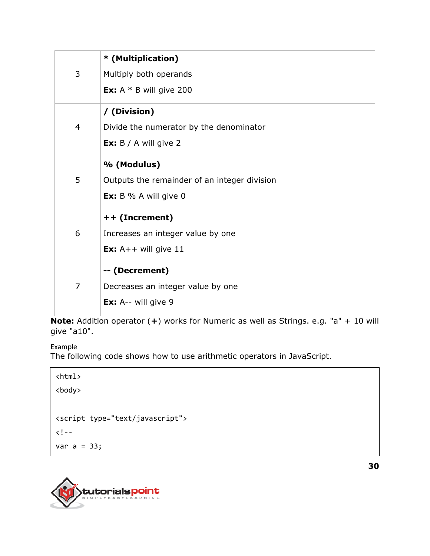|                | * (Multiplication)                           |
|----------------|----------------------------------------------|
| 3              | Multiply both operands                       |
|                | <b>Ex:</b> A $*$ B will give 200             |
|                | / (Division)                                 |
| $\overline{4}$ | Divide the numerator by the denominator      |
|                | <b>Ex:</b> $B / A$ will give 2               |
|                | % (Modulus)                                  |
| 5              | Outputs the remainder of an integer division |
|                | <b>Ex:</b> $B \% A will give 0$              |
|                | ++ (Increment)                               |
| 6              | Increases an integer value by one            |
|                | <b>Ex:</b> $A++$ will give 11                |
|                | -- (Decrement)                               |
| $\overline{7}$ | Decreases an integer value by one            |
|                | <b>Ex:</b> A-- will give $9$                 |

**Note:** Addition operator (**+**) works for Numeric as well as Strings. e.g. "a" + 10 will give "a10".

Example

The following code shows how to use arithmetic operators in JavaScript.

<html> <body> <script type="text/javascript">  $<$ ! $$ var  $a = 33;$ 

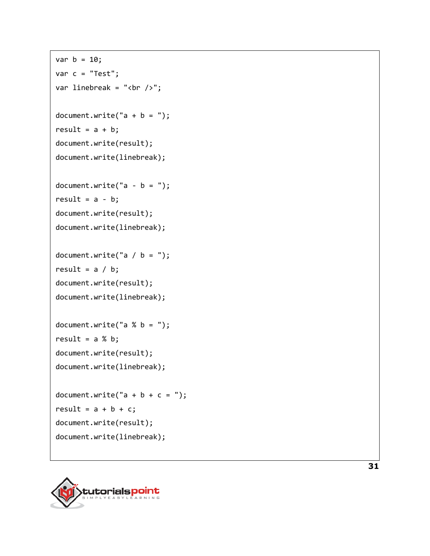```
var b = 10;
var c = "Test";
var linebreak = "<br />";
document.write("a + b = ");result = a + b;
document.write(result);
document.write(linebreak);
document.write("a - b =");
result = a - b;
document.write(result);
document.write(linebreak);
document.write("a / b =");
result = a / b;
document.write(result);
document.write(linebreak);
document.write("a % b =");
result = a % b;document.write(result);
document.write(linebreak);
document.write("a + b + c =");
result = a + b + c;
document.write(result);
document.write(linebreak);
```
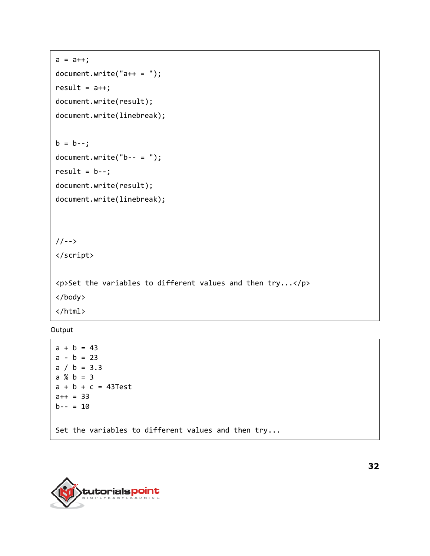```
a = a++;document.write("a++ = ");result = a++;document.write(result);
document.write(linebreak);
b = b--;document.write("b-- = ");result = b--;document.write(result);
document.write(linebreak);
//-->
</script>
<p>Set the variables to different values and then try...</p>
</body>
</html>
```
**Output** 

```
a + b = 43a - b = 23a / b = 3.3a % b = 3
a + b + c = 43Test
a++ = 33b-- = 10Set the variables to different values and then try...
```
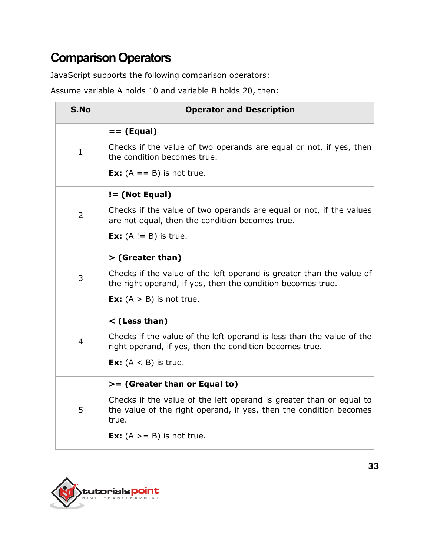### **Comparison Operators**

JavaScript supports the following comparison operators:

Assume variable A holds 10 and variable B holds 20, then:

| S.No           | <b>Operator and Description</b>                                                                                                                                                                                              |
|----------------|------------------------------------------------------------------------------------------------------------------------------------------------------------------------------------------------------------------------------|
| $\mathbf{1}$   | $==$ (Equal)<br>Checks if the value of two operands are equal or not, if yes, then<br>the condition becomes true.<br><b>Ex:</b> $(A == B)$ is not true.                                                                      |
| $\overline{2}$ | $!=$ (Not Equal)<br>Checks if the value of two operands are equal or not, if the values<br>are not equal, then the condition becomes true.<br><b>Ex:</b> $(A != B)$ is true.                                                 |
| 3              | > (Greater than)<br>Checks if the value of the left operand is greater than the value of<br>the right operand, if yes, then the condition becomes true.<br><b>Ex:</b> $(A > B)$ is not true.                                 |
| $\overline{4}$ | < (Less than)<br>Checks if the value of the left operand is less than the value of the<br>right operand, if yes, then the condition becomes true.<br><b>Ex:</b> $(A < B)$ is true.                                           |
| 5              | >= (Greater than or Equal to)<br>Checks if the value of the left operand is greater than or equal to<br>the value of the right operand, if yes, then the condition becomes<br>true.<br><b>Ex:</b> $(A \gt = B)$ is not true. |

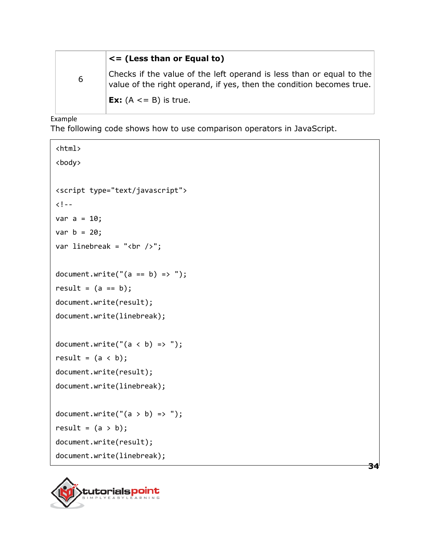|   | $\leq$ (Less than or Equal to)                                                                                                               |
|---|----------------------------------------------------------------------------------------------------------------------------------------------|
| 6 | Checks if the value of the left operand is less than or equal to the<br>value of the right operand, if yes, then the condition becomes true. |
|   | <b>Ex:</b> $(A \le B)$ is true.                                                                                                              |

**34**

Example

The following code shows how to use comparison operators in JavaScript.

```
<html>
<body>
<script type="text/javascript">
<! - -
var a = 10;
var b = 20;
var linebreak = "<br />";
document.write("(a == b) => ");
result = (a == b);
document.write(result);
document.write(linebreak);
document.write("(a < b) => ");
result = (a < b);
document.write(result);
document.write(linebreak);
document.write("(a > b) => ");
result = (a > b);
document.write(result);
document.write(linebreak);
```
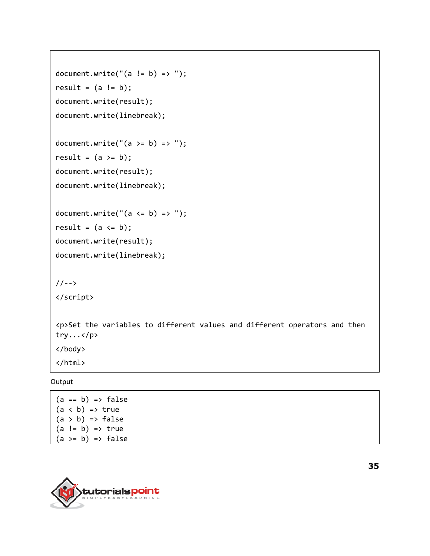```
document.write("(a != b) => ");
result = (a != b);
document.write(result);
document.write(linebreak);
document.write("(a \ge b) \Rightarrow");
result = (a \gt=b);document.write(result);
document.write(linebreak);
document.write("(a \le b) => ");
result = (a \le b);
document.write(result);
document.write(linebreak);
//-->
</script>
<p>Set the variables to different values and different operators and then 
try...</p>
</body>
</html>
```
Output

```
(a == b) \Rightarrow false(a < b) \Rightarrow true(a > b) \Rightarrow false(a != b) \Rightarrow true(a \ge b) \Rightarrow false
```


**35**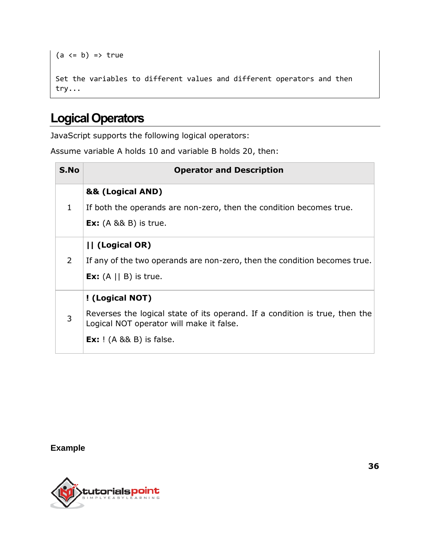```
(a \leq b) \Rightarrow trueSet the variables to different values and different operators and then 
try...
```
### **Logical Operators**

JavaScript supports the following logical operators:

Assume variable A holds 10 and variable B holds 20, then:

| S.No           | <b>Operator and Description</b>                                                                                                                                               |
|----------------|-------------------------------------------------------------------------------------------------------------------------------------------------------------------------------|
| $\mathbf{1}$   | && (Logical AND)<br>If both the operands are non-zero, then the condition becomes true.<br><b>Ex:</b> $(A \& B)$ is true.                                                     |
| $\overline{2}$ | (Logical OR)<br>If any of the two operands are non-zero, then the condition becomes true.<br><b>Ex:</b> $(A \mid B)$ is true.                                                 |
| 3              | ! (Logical NOT)<br>Reverses the logical state of its operand. If a condition is true, then the<br>Logical NOT operator will make it false.<br><b>Ex:</b> $(A \& B)$ is false. |

**Example**



**36**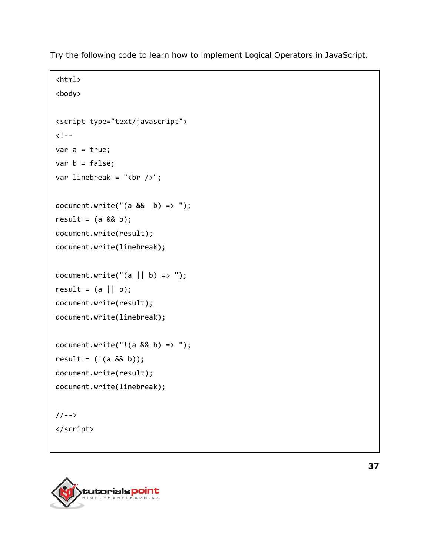Try the following code to learn how to implement Logical Operators in JavaScript.

```
<html>
<body>
<script type="text/javascript">
\langle! --
var a = true;
var b = false;var linebreak = "<br />";
document.write("(a 88 b) => ");
result = (a 88 b);
document.write(result);
document.write(linebreak);
document.write("(a || b) => ");
result = (a || b);
document.write(result);
document.write(linebreak);
document.write("!(a & 88, b) =>");
result = (!(a & 8& b));document.write(result);
document.write(linebreak);
//-->
</script>
```
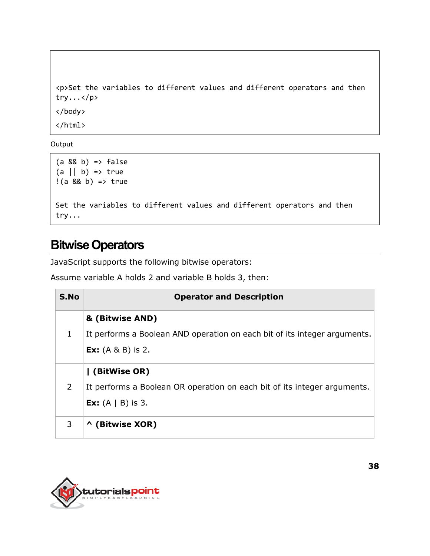```
<p>Set the variables to different values and different operators and then 
try...</p>
</body>
</html>
```
**Output** 

```
(a 88 b) \Rightarrow false(a || b) \Rightarrow true!(a && b) => true
Set the variables to different values and different operators and then 
try...
```
#### **Bitwise Operators**

JavaScript supports the following bitwise operators:

Assume variable A holds 2 and variable B holds 3, then:

| S.No           | <b>Operator and Description</b>                                                                                             |
|----------------|-----------------------------------------------------------------------------------------------------------------------------|
| 1              | & (Bitwise AND)<br>It performs a Boolean AND operation on each bit of its integer arguments.<br><b>Ex:</b> $(A \& B)$ is 2. |
| $\overline{2}$ | (BitWise OR)<br>It performs a Boolean OR operation on each bit of its integer arguments.<br><b>Ex:</b> $(A   B)$ is 3.      |
| 3              | (Bitwise XOR)<br>$\mathbf{\Lambda}$                                                                                         |

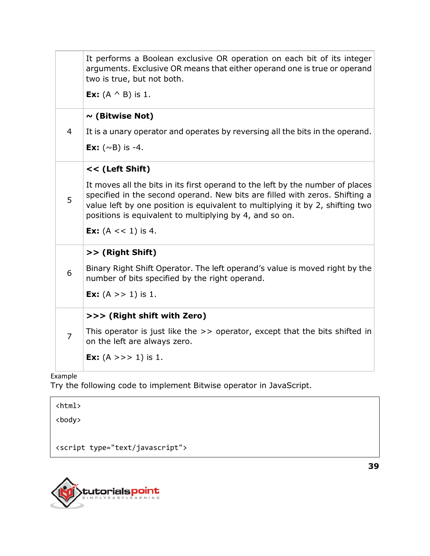|                | It performs a Boolean exclusive OR operation on each bit of its integer<br>arguments. Exclusive OR means that either operand one is true or operand<br>two is true, but not both.                                                                                                                         |
|----------------|-----------------------------------------------------------------------------------------------------------------------------------------------------------------------------------------------------------------------------------------------------------------------------------------------------------|
|                | <b>Ex:</b> $(A \wedge B)$ is 1.                                                                                                                                                                                                                                                                           |
|                | $\sim$ (Bitwise Not)                                                                                                                                                                                                                                                                                      |
| 4              | It is a unary operator and operates by reversing all the bits in the operand.                                                                                                                                                                                                                             |
|                | <b>Ex:</b> $(\sim B)$ is -4.                                                                                                                                                                                                                                                                              |
|                | << (Left Shift)                                                                                                                                                                                                                                                                                           |
| 5              | It moves all the bits in its first operand to the left by the number of places<br>specified in the second operand. New bits are filled with zeros. Shifting a<br>value left by one position is equivalent to multiplying it by 2, shifting two<br>positions is equivalent to multiplying by 4, and so on. |
|                | <b>Ex:</b> $(A \lt\lt 1)$ is 4.                                                                                                                                                                                                                                                                           |
|                | >> (Right Shift)                                                                                                                                                                                                                                                                                          |
| 6              | Binary Right Shift Operator. The left operand's value is moved right by the<br>number of bits specified by the right operand.                                                                                                                                                                             |
|                | <b>Ex:</b> $(A \gt 1)$ is 1.                                                                                                                                                                                                                                                                              |
|                | >>> (Right shift with Zero)                                                                                                                                                                                                                                                                               |
| $\overline{7}$ | This operator is just like the $\gg$ operator, except that the bits shifted in<br>on the left are always zero.                                                                                                                                                                                            |
|                | <b>Ex:</b> $(A \gg 1)$ is 1.                                                                                                                                                                                                                                                                              |
| Example        |                                                                                                                                                                                                                                                                                                           |

Try the following code to implement Bitwise operator in JavaScript.

<html>

<body>

<script type="text/javascript">



**39**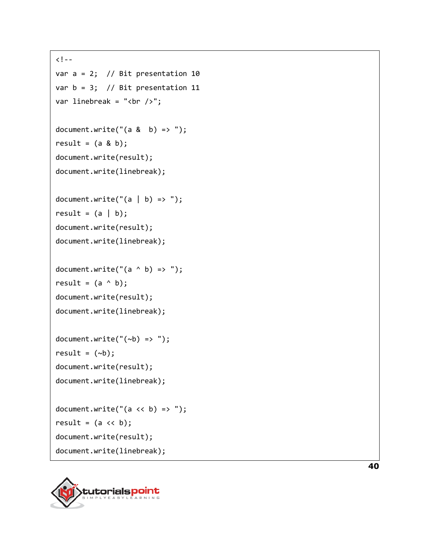```
\langle! --
var a = 2; // Bit presentation 10
var b = 3; // Bit presentation 11
var linebreak = "<br /)";
document.write("(a & b) \Rightarrow");
result = (a & b);
document.write(result);
document.write(linebreak);
document.write("(a | b) => ");
result = (a | b);
document.write(result);
document.write(linebreak);
document.write("(a ^ b) => ");
result = (a \land b);
document.write(result);
document.write(linebreak);
document.write("(-b) => ");result = (\neg b);
document.write(result);
document.write(linebreak);
document.write("(a \lt\lt b) => ");
result = (a \lt\lt b);
document.write(result);
document.write(linebreak);
```


**40**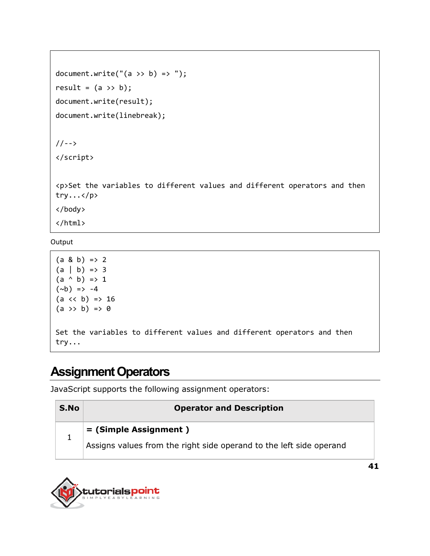```
document.write("(a \gg b) => ");
result = (a \gg b);
document.write(result);
document.write(linebreak);
```
//--> </script>

<p>Set the variables to different values and different operators and then try...</p>

</body>

</html>

**Output** 

```
(a & b) \Rightarrow 2(a | b) \Rightarrow 3(a \land b) \Rightarrow 1(\sim b) => -4
(a \ll b) \Rightarrow 16(a \rightarrow b) \Rightarrow 0Set the variables to different values and different operators and then 
try...
```
#### **Assignment Operators**

JavaScript supports the following assignment operators:

| S.No | <b>Operator and Description</b>                                     |
|------|---------------------------------------------------------------------|
|      | $\mathbf{r} = \mathbf{S}$ imple Assignment )                        |
|      | Assigns values from the right side operand to the left side operand |

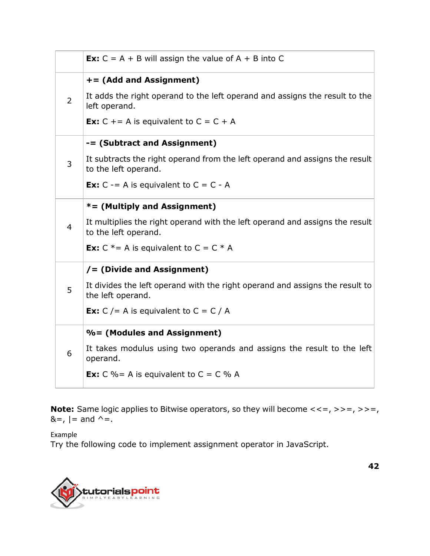**Ex:**  $C = A + B$  will assign the value of  $A + B$  into C 2 **+= (Add and Assignment)** It adds the right operand to the left operand and assigns the result to the left operand. **Ex:**  $C + A$  is equivalent to  $C = C + A$ 3 **-= (Subtract and Assignment)** It subtracts the right operand from the left operand and assigns the result to the left operand. **Ex:**  $C = A$  is equivalent to  $C = C - A$ 4 **\*= (Multiply and Assignment)** It multiplies the right operand with the left operand and assigns the result to the left operand. **Ex:**  $C^* = A$  is equivalent to  $C = C^* A$ 5 **/= (Divide and Assignment)** It divides the left operand with the right operand and assigns the result to the left operand. **Ex:**  $C$  /= A is equivalent to  $C = C / A$ 6 **%= (Modules and Assignment)** It takes modulus using two operands and assigns the result to the left operand. **Ex:**  $C\% = A$  is equivalent to  $C = C\%$  A

**Note:** Same logic applies to Bitwise operators, so they will become  $\langle \langle -\rangle \rangle = I$ ,  $\langle \rangle = -I$ ,  $&=$ ,  $| =$  and  $\wedge =$ .

Example

Try the following code to implement assignment operator in JavaScript.

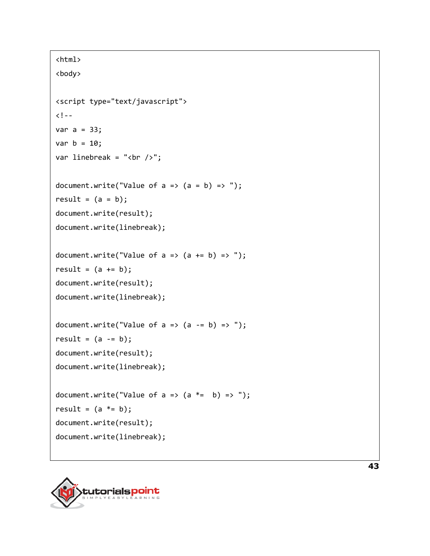```
<html>
<body>
<script type="text/javascript">
<!- -var a = 33;var b = 10;
var linebreak = "<br />";
document.write("Value of a \Rightarrow (a = b) \Rightarrow");
result = (a = b);
document.write(result);
document.write(linebreak);
document.write("Value of a \Rightarrow (a \neq b) \Rightarrow");
result = (a + b);
document.write(result);
document.write(linebreak);
document.write("Value of a \Rightarrow (a -b) \Rightarrow");
result = (a -b);
document.write(result);
document.write(linebreak);
document.write("Value of a \Rightarrow (a \neq b) \Rightarrow");
result = (a * = b);
document.write(result);
document.write(linebreak);
```


**43**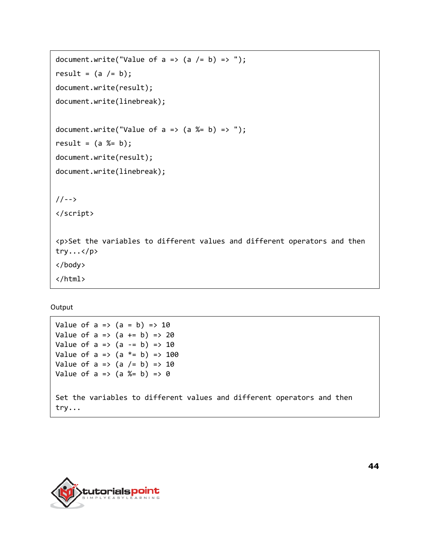```
document.write("Value of a \Rightarrow (a \neq b) \Rightarrow");
result = (a /= b);
document.write(result);
document.write(linebreak);
document.write("Value of a => (a %= b) => ");
result = (a %= b);document.write(result);
document.write(linebreak);
//-->
</script>
<p>Set the variables to different values and different operators and then 
try...</p>
</body>
</html>
```
**Output** 

Value of  $a \Rightarrow (a = b) \Rightarrow 10$ Value of  $a \Rightarrow (a \neq b) \Rightarrow 20$ Value of  $a \Rightarrow (a -b) \Rightarrow 10$ Value of a =>  $(a * = b)$  => 100 Value of  $a \Rightarrow (a \neq b) \Rightarrow 10$ Value of  $a \Rightarrow (a \& b) \Rightarrow 0$ Set the variables to different values and different operators and then try...

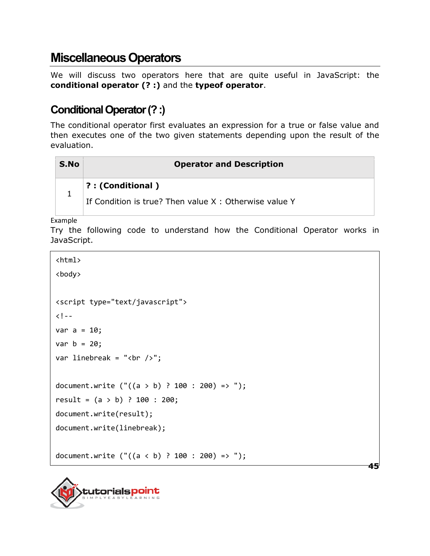#### **Miscellaneous Operators**

We will discuss two operators here that are quite useful in JavaScript: the **conditional operator (? :)** and the **typeof operator**.

#### **Conditional Operator (? :)**

The conditional operator first evaluates an expression for a true or false value and then executes one of the two given statements depending upon the result of the evaluation.

| <b>Operator and Description</b>                          |
|----------------------------------------------------------|
| $\mid$ ? : (Conditional )                                |
| If Condition is true? Then value $X :$ Otherwise value Y |
|                                                          |

Example

Try the following code to understand how the Conditional Operator works in JavaScript.

**45**

<html>

```
<body>
<script type="text/javascript">
\langle! --
var a = 10;
var b = 20;
var linebreak = "<br /)";
document.write ("((a > b) ? 100 : 200) => ");result = (a > b) ? 100 : 200;
document.write(result);
document.write(linebreak);
document.write ("((a < b) ? 100 : 200) =& ");
```
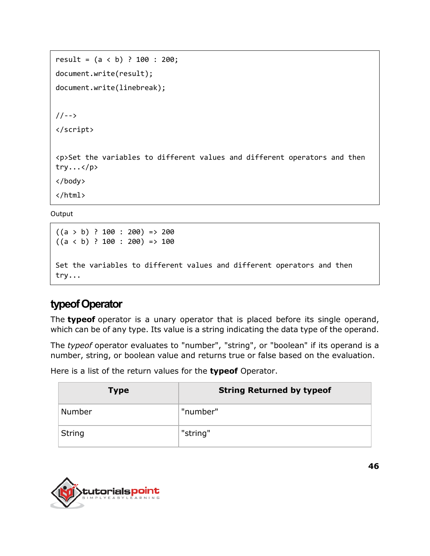```
result = (a < b) ? 100 : 200;
document.write(result);
document.write(linebreak);
//-->
</script>
<p>Set the variables to different values and different operators and then 
try...</p>
</body>
</html>
```
**Output** 

```
((a \gt b) ? 100 : 200) => 200
((a < b) ? 100 : 200) => 100
Set the variables to different values and different operators and then 
try...
```
#### **typeof Operator**

The **typeof** operator is a unary operator that is placed before its single operand, which can be of any type. Its value is a string indicating the data type of the operand.

The *typeof* operator evaluates to "number", "string", or "boolean" if its operand is a number, string, or boolean value and returns true or false based on the evaluation.

Here is a list of the return values for the **typeof** Operator.

| <b>Type</b>   | <b>String Returned by typeof</b> |
|---------------|----------------------------------|
| Number        | "number"                         |
| <b>String</b> | "string"                         |

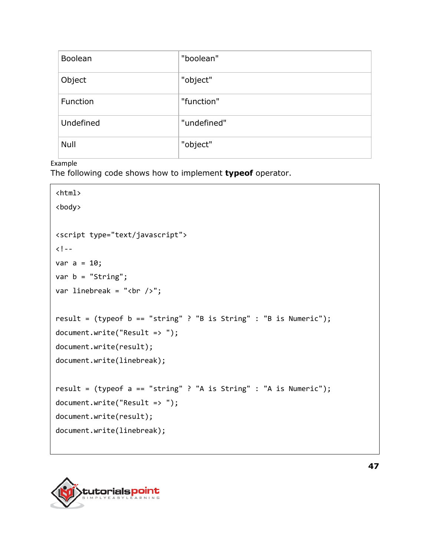| Boolean   | "boolean"   |
|-----------|-------------|
| Object    | "object"    |
| Function  | "function"  |
| Undefined | "undefined" |
| Null      | "object"    |

#### Example

The following code shows how to implement **typeof** operator.

```
<html>
<body>
<script type="text/javascript">
<!- - \,var a = 10;
var b = "String";
var linebreak = "<br />";
result = (typeof b == "string" ? "B is String" : "B is Numeric");
document.write("Result => ");
document.write(result);
document.write(linebreak);
result = (typeof a == "string" ? "A is String" : "A is Numeric");
document.write("Result => ");
document.write(result);
document.write(linebreak);
```
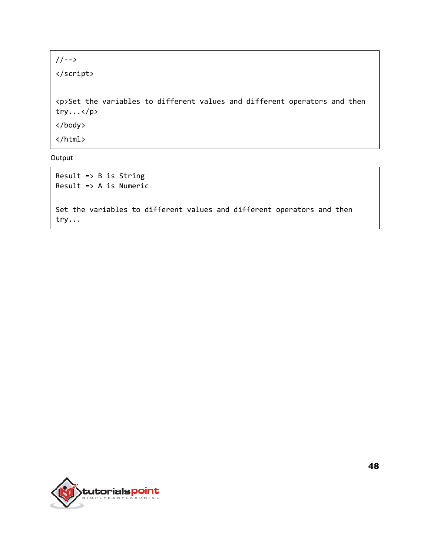//--> </script> <p>Set the variables to different values and different operators and then try...</p> </body> </html>

Output

```
Result => B is String
Result => A is Numeric
Set the variables to different values and different operators and then 
try...
```